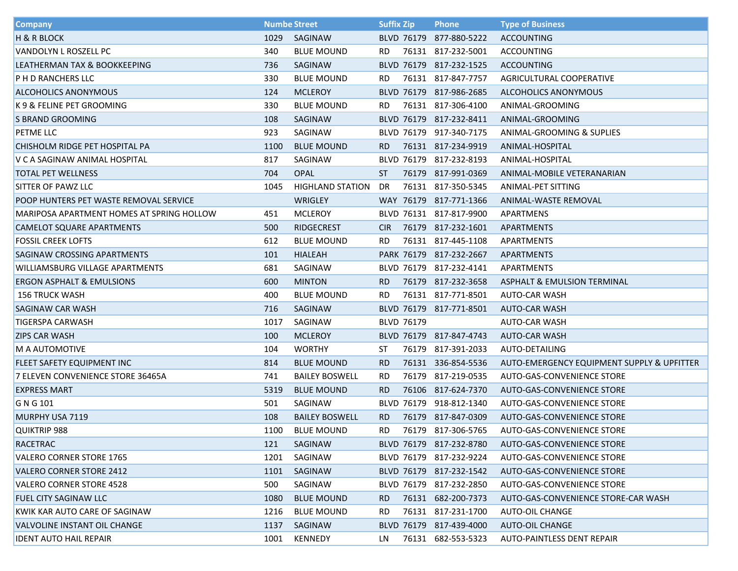| <b>Company</b>                            |      | <b>Numbe Street</b>     | <b>Suffix Zip</b> |                   | <b>Phone</b>            | <b>Type of Business</b>                    |
|-------------------------------------------|------|-------------------------|-------------------|-------------------|-------------------------|--------------------------------------------|
| <b>H &amp; R BLOCK</b>                    | 1029 | SAGINAW                 |                   |                   | BLVD 76179 877-880-5222 | ACCOUNTING                                 |
| <b>VANDOLYN L ROSZELL PC</b>              | 340  | <b>BLUE MOUND</b>       | RD.               |                   | 76131 817-232-5001      | ACCOUNTING                                 |
| LEATHERMAN TAX & BOOKKEEPING              | 736  | SAGINAW                 |                   |                   | BLVD 76179 817-232-1525 | ACCOUNTING                                 |
| P H D RANCHERS LLC                        | 330  | <b>BLUE MOUND</b>       | RD.               |                   | 76131 817-847-7757      | AGRICULTURAL COOPERATIVE                   |
| <b>ALCOHOLICS ANONYMOUS</b>               | 124  | <b>MCLEROY</b>          |                   |                   | BLVD 76179 817-986-2685 | ALCOHOLICS ANONYMOUS                       |
| K 9 & FELINE PET GROOMING                 | 330  | <b>BLUE MOUND</b>       | RD.               |                   | 76131 817-306-4100      | ANIMAL-GROOMING                            |
| S BRAND GROOMING                          | 108  | SAGINAW                 |                   |                   | BLVD 76179 817-232-8411 | ANIMAL-GROOMING                            |
| <b>PETME LLC</b>                          | 923  | SAGINAW                 |                   |                   | BLVD 76179 917-340-7175 | ANIMAL-GROOMING & SUPLIES                  |
| CHISHOLM RIDGE PET HOSPITAL PA            | 1100 | <b>BLUE MOUND</b>       | RD.               |                   | 76131 817-234-9919      | ANIMAL-HOSPITAL                            |
| V C A SAGINAW ANIMAL HOSPITAL             | 817  | SAGINAW                 |                   |                   | BLVD 76179 817-232-8193 | ANIMAL-HOSPITAL                            |
| TOTAL PET WELLNESS                        | 704  | <b>OPAL</b>             | ST                |                   | 76179 817-991-0369      | ANIMAL-MOBILE VETERANARIAN                 |
| SITTER OF PAWZ LLC                        | 1045 | <b>HIGHLAND STATION</b> | DR                |                   | 76131 817-350-5345      | ANIMAL-PET SITTING                         |
| POOP HUNTERS PET WASTE REMOVAL SERVICE    |      | WRIGLEY                 |                   |                   | WAY 76179 817-771-1366  | ANIMAL-WASTE REMOVAL                       |
| MARIPOSA APARTMENT HOMES AT SPRING HOLLOW | 451  | <b>MCLEROY</b>          |                   |                   | BLVD 76131 817-817-9900 | APARTMENS                                  |
| <b>CAMELOT SQUARE APARTMENTS</b>          | 500  | <b>RIDGECREST</b>       | <b>CIR</b>        |                   | 76179 817-232-1601      | APARTMENTS                                 |
| <b>FOSSIL CREEK LOFTS</b>                 | 612  | <b>BLUE MOUND</b>       | RD.               |                   | 76131 817-445-1108      | APARTMENTS                                 |
| <b>SAGINAW CROSSING APARTMENTS</b>        | 101  | <b>HIALEAH</b>          |                   |                   | PARK 76179 817-232-2667 | <b>APARTMENTS</b>                          |
| WILLIAMSBURG VILLAGE APARTMENTS           | 681  | SAGINAW                 |                   |                   | BLVD 76179 817-232-4141 | APARTMENTS                                 |
| ERGON ASPHALT & EMULSIONS                 | 600  | <b>MINTON</b>           | RD.               |                   | 76179 817-232-3658      | ASPHALT & EMULSION TERMINAL                |
| <b>156 TRUCK WASH</b>                     | 400  | <b>BLUE MOUND</b>       | RD.               |                   | 76131 817-771-8501      | AUTO-CAR WASH                              |
| <b>SAGINAW CAR WASH</b>                   | 716  | SAGINAW                 |                   |                   | BLVD 76179 817-771-8501 | <b>AUTO-CAR WASH</b>                       |
| TIGERSPA CARWASH                          | 1017 | SAGINAW                 |                   | <b>BLVD 76179</b> |                         | AUTO-CAR WASH                              |
| <b>ZIPS CAR WASH</b>                      | 100  | <b>MCLEROY</b>          |                   |                   | BLVD 76179 817-847-4743 | <b>AUTO-CAR WASH</b>                       |
| <b>M A AUTOMOTIVE</b>                     | 104  | <b>WORTHY</b>           | ST                |                   | 76179 817-391-2033      | AUTO-DETAILING                             |
| <b>FLEET SAFETY EQUIPMENT INC</b>         | 814  | <b>BLUE MOUND</b>       | RD.               |                   | 76131 336-854-5536      | AUTO-EMERGENCY EQUIPMENT SUPPLY & UPFITTER |
| 7 ELEVEN CONVENIENCE STORE 36465A         | 741  | <b>BAILEY BOSWELL</b>   | RD.               |                   | 76179 817-219-0535      | AUTO-GAS-CONVENIENCE STORE                 |
| <b>EXPRESS MART</b>                       | 5319 | <b>BLUE MOUND</b>       | RD.               |                   | 76106 817-624-7370      | AUTO-GAS-CONVENIENCE STORE                 |
| G N G 101                                 | 501  | SAGINAW                 |                   |                   | BLVD 76179 918-812-1340 | AUTO-GAS-CONVENIENCE STORE                 |
| MURPHY USA 7119                           | 108  | <b>BAILEY BOSWELL</b>   | RD.               | 76179             | 817-847-0309            | AUTO-GAS-CONVENIENCE STORE                 |
| <b>QUIKTRIP 988</b>                       | 1100 | <b>BLUE MOUND</b>       | RD.               |                   | 76179 817-306-5765      | AUTO-GAS-CONVENIENCE STORE                 |
| RACETRAC                                  | 121  | SAGINAW                 |                   |                   | BLVD 76179 817-232-8780 | AUTO-GAS-CONVENIENCE STORE                 |
| <b>VALERO CORNER STORE 1765</b>           | 1201 | SAGINAW                 |                   |                   | BLVD 76179 817-232-9224 | AUTO-GAS-CONVENIENCE STORE                 |
| <b>VALERO CORNER STORE 2412</b>           | 1101 | SAGINAW                 |                   |                   | BLVD 76179 817-232-1542 | AUTO-GAS-CONVENIENCE STORE                 |
| <b>VALERO CORNER STORE 4528</b>           | 500  | SAGINAW                 |                   |                   | BLVD 76179 817-232-2850 | AUTO-GAS-CONVENIENCE STORE                 |
| <b>FUEL CITY SAGINAW LLC</b>              | 1080 | <b>BLUE MOUND</b>       | RD.               |                   | 76131 682-200-7373      | AUTO-GAS-CONVENIENCE STORE-CAR WASH        |
| KWIK KAR AUTO CARE OF SAGINAW             | 1216 | <b>BLUE MOUND</b>       | <b>RD</b>         |                   | 76131 817-231-1700      | <b>AUTO-OIL CHANGE</b>                     |
| VALVOLINE INSTANT OIL CHANGE              | 1137 | SAGINAW                 |                   |                   | BLVD 76179 817-439-4000 | AUTO-OIL CHANGE                            |
| <b>IDENT AUTO HAIL REPAIR</b>             | 1001 | KENNEDY                 | LN                |                   | 76131 682-553-5323      | AUTO-PAINTLESS DENT REPAIR                 |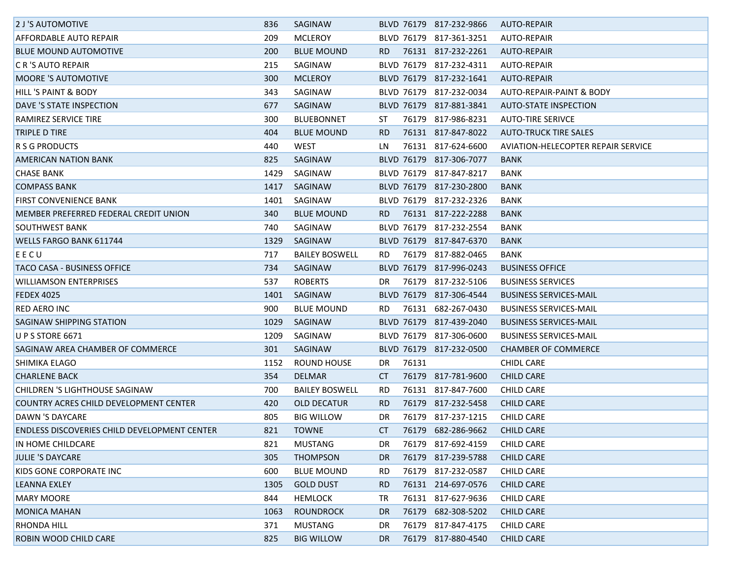| 2 J'S AUTOMOTIVE                             | 836  | SAGINAW               |     |       | BLVD 76179 817-232-9866 | AUTO-REPAIR                        |
|----------------------------------------------|------|-----------------------|-----|-------|-------------------------|------------------------------------|
| AFFORDABLE AUTO REPAIR                       | 209  | <b>MCLEROY</b>        |     |       | BLVD 76179 817-361-3251 | AUTO-REPAIR                        |
| <b>BLUE MOUND AUTOMOTIVE</b>                 | 200  | <b>BLUE MOUND</b>     | RD. |       | 76131 817-232-2261      | AUTO-REPAIR                        |
| <b>C R 'S AUTO REPAIR</b>                    | 215  | SAGINAW               |     |       | BLVD 76179 817-232-4311 | <b>AUTO-REPAIR</b>                 |
| <b>MOORE 'S AUTOMOTIVE</b>                   | 300  | <b>MCLEROY</b>        |     |       | BLVD 76179 817-232-1641 | AUTO-REPAIR                        |
| <b>HILL 'S PAINT &amp; BODY</b>              | 343  | SAGINAW               |     |       | BLVD 76179 817-232-0034 | AUTO-REPAIR-PAINT & BODY           |
| DAVE 'S STATE INSPECTION                     | 677  | SAGINAW               |     |       | BLVD 76179 817-881-3841 | AUTO-STATE INSPECTION              |
| RAMIREZ SERVICE TIRE                         | 300  | BLUEBONNET            | ST  |       | 76179 817-986-8231      | <b>AUTO-TIRE SERIVCE</b>           |
| <b>TRIPLE D TIRE</b>                         | 404  | <b>BLUE MOUND</b>     | RD. |       | 76131 817-847-8022      | <b>AUTO-TRUCK TIRE SALES</b>       |
| R S G PRODUCTS                               | 440  | <b>WEST</b>           | LN  |       | 76131 817-624-6600      | AVIATION-HELECOPTER REPAIR SERVICE |
| <b>AMERICAN NATION BANK</b>                  | 825  | SAGINAW               |     |       | BLVD 76179 817-306-7077 | <b>BANK</b>                        |
| <b>CHASE BANK</b>                            | 1429 | SAGINAW               |     |       | BLVD 76179 817-847-8217 | BANK                               |
| <b>COMPASS BANK</b>                          | 1417 | SAGINAW               |     |       | BLVD 76179 817-230-2800 | BANK                               |
| <b>FIRST CONVENIENCE BANK</b>                | 1401 | SAGINAW               |     |       | BLVD 76179 817-232-2326 | BANK                               |
| MEMBER PREFERRED FEDERAL CREDIT UNION        | 340  | <b>BLUE MOUND</b>     | RD. |       | 76131 817-222-2288      | BANK                               |
| <b>SOUTHWEST BANK</b>                        | 740  | SAGINAW               |     |       | BLVD 76179 817-232-2554 | BANK                               |
| <b>WELLS FARGO BANK 611744</b>               | 1329 | SAGINAW               |     |       | BLVD 76179 817-847-6370 | BANK                               |
| EECU                                         | 717  | <b>BAILEY BOSWELL</b> | RD. |       | 76179 817-882-0465      | BANK                               |
| TACO CASA - BUSINESS OFFICE                  | 734  | SAGINAW               |     |       | BLVD 76179 817-996-0243 | <b>BUSINESS OFFICE</b>             |
| <b>WILLIAMSON ENTERPRISES</b>                | 537  | <b>ROBERTS</b>        | DR  |       | 76179 817-232-5106      | <b>BUSINESS SERVICES</b>           |
| <b>FEDEX 4025</b>                            | 1401 | SAGINAW               |     |       | BLVD 76179 817-306-4544 | <b>BUSINESS SERVICES-MAIL</b>      |
| <b>RED AERO INC</b>                          | 900  | <b>BLUE MOUND</b>     | RD. |       | 76131 682-267-0430      | <b>BUSINESS SERVICES-MAIL</b>      |
| <b>SAGINAW SHIPPING STATION</b>              | 1029 | SAGINAW               |     |       | BLVD 76179 817-439-2040 | <b>BUSINESS SERVICES-MAIL</b>      |
| <b>U P S STORE 6671</b>                      | 1209 | SAGINAW               |     |       | BLVD 76179 817-306-0600 | <b>BUSINESS SERVICES-MAIL</b>      |
| SAGINAW AREA CHAMBER OF COMMERCE             | 301  | SAGINAW               |     |       | BLVD 76179 817-232-0500 | <b>CHAMBER OF COMMERCE</b>         |
| <b>SHIMIKA ELAGO</b>                         | 1152 | ROUND HOUSE           | DR  | 76131 |                         | CHIDL CARE                         |
| <b>CHARLENE BACK</b>                         | 354  | <b>DELMAR</b>         | CT  |       | 76179 817-781-9600      | <b>CHILD CARE</b>                  |
| <b>CHILDREN 'S LIGHTHOUSE SAGINAW</b>        | 700  | <b>BAILEY BOSWELL</b> | RD. |       | 76131 817-847-7600      | <b>CHILD CARE</b>                  |
| COUNTRY ACRES CHILD DEVELOPMENT CENTER       | 420  | OLD DECATUR           | RD. |       | 76179 817-232-5458      | <b>CHILD CARE</b>                  |
| DAWN 'S DAYCARE                              | 805  | <b>BIG WILLOW</b>     | DR  |       | 76179 817-237-1215      | <b>CHILD CARE</b>                  |
| ENDLESS DISCOVERIES CHILD DEVELOPMENT CENTER | 821  | <b>TOWNE</b>          | CT. |       | 76179 682-286-9662      | <b>CHILD CARE</b>                  |
| IN HOME CHILDCARE                            | 821  | <b>MUSTANG</b>        | DR  |       | 76179 817-692-4159      | <b>CHILD CARE</b>                  |
| JULIE 'S DAYCARE                             | 305  | <b>THOMPSON</b>       | DR. |       | 76179 817-239-5788      | <b>CHILD CARE</b>                  |
| KIDS GONE CORPORATE INC                      | 600  | <b>BLUE MOUND</b>     | RD. |       | 76179 817-232-0587      | <b>CHILD CARE</b>                  |
| LEANNA EXLEY                                 | 1305 | <b>GOLD DUST</b>      | RD. |       | 76131 214-697-0576      | <b>CHILD CARE</b>                  |
| <b>MARY MOORE</b>                            | 844  | <b>HEMLOCK</b>        | TR  |       | 76131 817-627-9636      | <b>CHILD CARE</b>                  |
| <b>MONICA MAHAN</b>                          | 1063 | <b>ROUNDROCK</b>      | DR. | 76179 | 682-308-5202            | <b>CHILD CARE</b>                  |
| <b>RHONDA HILL</b>                           | 371  | <b>MUSTANG</b>        | DR  |       | 76179 817-847-4175      | <b>CHILD CARE</b>                  |
| <b>ROBIN WOOD CHILD CARE</b>                 | 825  | <b>BIG WILLOW</b>     | DR. |       | 76179 817-880-4540      | <b>CHILD CARE</b>                  |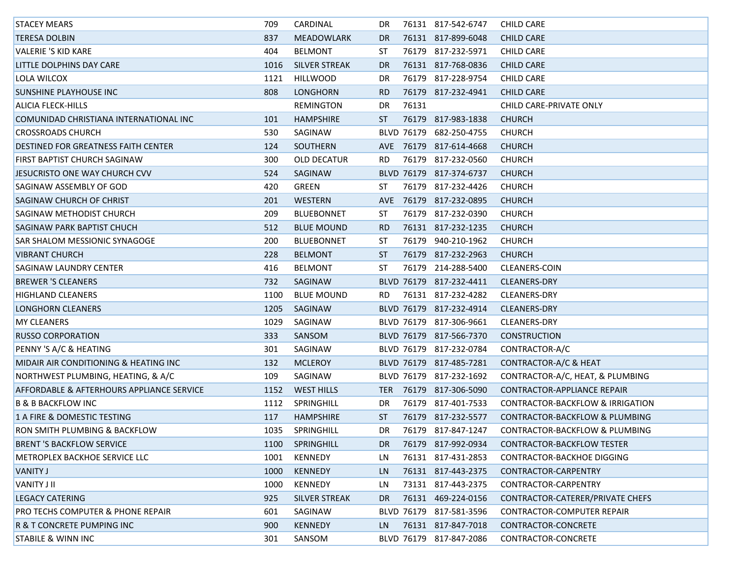| <b>STACEY MEARS</b>                                  | 709  | CARDINAL             | DR.        |       | 76131 817-542-6747      | CHILD CARE                         |
|------------------------------------------------------|------|----------------------|------------|-------|-------------------------|------------------------------------|
| <b>TERESA DOLBIN</b>                                 | 837  | <b>MEADOWLARK</b>    | DR.        |       | 76131 817-899-6048      | <b>CHILD CARE</b>                  |
| <b>VALERIE 'S KID KARE</b>                           | 404  | <b>BELMONT</b>       | ST         |       | 76179 817-232-5971      | <b>CHILD CARE</b>                  |
| LITTLE DOLPHINS DAY CARE                             | 1016 | <b>SILVER STREAK</b> | <b>DR</b>  |       | 76131 817-768-0836      | <b>CHILD CARE</b>                  |
| LOLA WILCOX                                          | 1121 | <b>HILLWOOD</b>      | DR         |       | 76179 817-228-9754      | <b>CHILD CARE</b>                  |
| <b>SUNSHINE PLAYHOUSE INC</b>                        | 808  | LONGHORN             | RD.        |       | 76179 817-232-4941      | <b>CHILD CARE</b>                  |
| ALICIA FLECK-HILLS                                   |      | <b>REMINGTON</b>     | DR         | 76131 |                         | CHILD CARE-PRIVATE ONLY            |
| COMUNIDAD CHRISTIANA INTERNATIONAL INC               | 101  | <b>HAMPSHIRE</b>     | ST         |       | 76179 817-983-1838      | <b>CHURCH</b>                      |
| <b>CROSSROADS CHURCH</b>                             | 530  | SAGINAW              |            |       | BLVD 76179 682-250-4755 | <b>CHURCH</b>                      |
| DESTINED FOR GREATNESS FAITH CENTER                  | 124  | SOUTHERN             | <b>AVE</b> |       | 76179 817-614-4668      | <b>CHURCH</b>                      |
| <b>FIRST BAPTIST CHURCH SAGINAW</b>                  | 300  | <b>OLD DECATUR</b>   | <b>RD</b>  |       | 76179 817-232-0560      | <b>CHURCH</b>                      |
| JESUCRISTO ONE WAY CHURCH CVV                        | 524  | SAGINAW              |            |       | BLVD 76179 817-374-6737 | <b>CHURCH</b>                      |
| SAGINAW ASSEMBLY OF GOD                              | 420  | GREEN                | ST         |       | 76179 817-232-4426      | <b>CHURCH</b>                      |
| <b>SAGINAW CHURCH OF CHRIST</b>                      | 201  | WESTERN              | <b>AVE</b> |       | 76179 817-232-0895      | <b>CHURCH</b>                      |
| <b>SAGINAW METHODIST CHURCH</b>                      | 209  | <b>BLUEBONNET</b>    | ST         |       | 76179 817-232-0390      | <b>CHURCH</b>                      |
| <b>SAGINAW PARK BAPTIST CHUCH</b>                    | 512  | <b>BLUE MOUND</b>    | RD.        |       | 76131 817-232-1235      | <b>CHURCH</b>                      |
| SAR SHALOM MESSIONIC SYNAGOGE                        | 200  | <b>BLUEBONNET</b>    | ST         |       | 76179 940-210-1962      | <b>CHURCH</b>                      |
| <b>VIBRANT CHURCH</b>                                | 228  | <b>BELMONT</b>       | ST.        |       | 76179 817-232-2963      | <b>CHURCH</b>                      |
| <b>SAGINAW LAUNDRY CENTER</b>                        | 416  | <b>BELMONT</b>       | ST         |       | 76179 214-288-5400      | <b>CLEANERS-COIN</b>               |
| <b>BREWER 'S CLEANERS</b>                            | 732  | SAGINAW              |            |       | BLVD 76179 817-232-4411 | <b>CLEANERS-DRY</b>                |
| <b>HIGHLAND CLEANERS</b>                             | 1100 | <b>BLUE MOUND</b>    | RD.        |       | 76131 817-232-4282      | <b>CLEANERS-DRY</b>                |
| LONGHORN CLEANERS                                    | 1205 | SAGINAW              |            |       | BLVD 76179 817-232-4914 | <b>CLEANERS-DRY</b>                |
| <b>MY CLEANERS</b>                                   | 1029 | SAGINAW              |            |       | BLVD 76179 817-306-9661 | <b>CLEANERS-DRY</b>                |
| <b>RUSSO CORPORATION</b>                             | 333  | SANSOM               |            |       | BLVD 76179 817-566-7370 | <b>CONSTRUCTION</b>                |
| <b>PENNY 'S A/C &amp; HEATING</b>                    | 301  | SAGINAW              |            |       | BLVD 76179 817-232-0784 | CONTRACTOR-A/C                     |
| MIDAIR AIR CONDITIONING & HEATING INC                | 132  | <b>MCLEROY</b>       |            |       | BLVD 76179 817-485-7281 | CONTRACTOR-A/C & HEAT              |
| NORTHWEST PLUMBING, HEATING, & A/C                   | 109  | SAGINAW              |            |       | BLVD 76179 817-232-1692 | CONTRACTOR-A/C, HEAT, & PLUMBING   |
| <b>AFFORDABLE &amp; AFTERHOURS APPLIANCE SERVICE</b> | 1152 | <b>WEST HILLS</b>    | <b>TER</b> |       | 76179 817-306-5090      | <b>CONTRACTOR-APPLIANCE REPAIR</b> |
| <b>B &amp; B BACKFLOW INC</b>                        | 1112 | SPRINGHILL           | DR         |       | 76179 817-401-7533      | CONTRACTOR-BACKFLOW & IRRIGATION   |
| 1 A FIRE & DOMESTIC TESTING                          | 117  | <b>HAMPSHIRE</b>     | <b>ST</b>  |       | 76179 817-232-5577      | CONTRACTOR-BACKFLOW & PLUMBING     |
| RON SMITH PLUMBING & BACKFLOW                        | 1035 | SPRINGHILL           | DR.        |       | 76179 817-847-1247      | CONTRACTOR-BACKFLOW & PLUMBING     |
| <b>BRENT 'S BACKFLOW SERVICE</b>                     | 1100 | SPRINGHILL           | DR.        |       | 76179 817-992-0934      | CONTRACTOR-BACKFLOW TESTER         |
| <b>METROPLEX BACKHOE SERVICE LLC</b>                 | 1001 | KENNEDY              | LN         |       | 76131 817-431-2853      | CONTRACTOR-BACKHOE DIGGING         |
| <b>VANITY J</b>                                      | 1000 | KENNEDY              | LN.        |       | 76131 817-443-2375      | CONTRACTOR-CARPENTRY               |
| <b>VANITY J II</b>                                   | 1000 | KENNEDY              | LN         |       | 73131 817-443-2375      | CONTRACTOR-CARPENTRY               |
| <b>LEGACY CATERING</b>                               | 925  | <b>SILVER STREAK</b> | DR.        |       | 76131 469-224-0156      | CONTRACTOR-CATERER/PRIVATE CHEFS   |
| <b>PRO TECHS COMPUTER &amp; PHONE REPAIR</b>         | 601  | SAGINAW              |            |       | BLVD 76179 817-581-3596 | <b>CONTRACTOR-COMPUTER REPAIR</b>  |
| <b>R &amp; T CONCRETE PUMPING INC</b>                | 900  | KENNEDY              | LN.        |       | 76131 817-847-7018      | CONTRACTOR-CONCRETE                |
| <b>STABILE &amp; WINN INC</b>                        | 301  | SANSOM               |            |       | BLVD 76179 817-847-2086 | CONTRACTOR-CONCRETE                |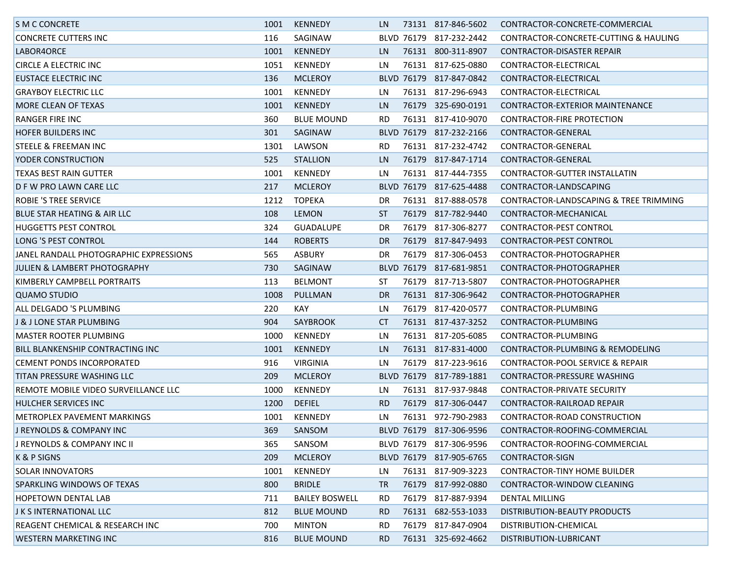| <b>S M C CONCRETE</b>                   | 1001 | KENNEDY               | LN.       |       | 73131 817-846-5602      | CONTRACTOR-CONCRETE-COMMERCIAL         |
|-----------------------------------------|------|-----------------------|-----------|-------|-------------------------|----------------------------------------|
| <b>CONCRETE CUTTERS INC</b>             | 116  | SAGINAW               |           |       | BLVD 76179 817-232-2442 | CONTRACTOR-CONCRETE-CUTTING & HAULING  |
| LABOR4ORCE                              | 1001 | <b>KENNEDY</b>        | LN.       |       | 76131 800-311-8907      | CONTRACTOR-DISASTER REPAIR             |
| <b>CIRCLE A ELECTRIC INC</b>            | 1051 | KENNEDY               | LN        |       | 76131 817-625-0880      | CONTRACTOR-ELECTRICAL                  |
| EUSTACE ELECTRIC INC                    | 136  | <b>MCLEROY</b>        |           |       | BLVD 76179 817-847-0842 | CONTRACTOR-ELECTRICAL                  |
| <b>GRAYBOY ELECTRIC LLC</b>             | 1001 | KENNEDY               | LN        |       | 76131 817-296-6943      | CONTRACTOR-ELECTRICAL                  |
| MORE CLEAN OF TEXAS                     | 1001 | KENNEDY               | LN.       |       | 76179 325-690-0191      | CONTRACTOR-EXTERIOR MAINTENANCE        |
| RANGER FIRE INC                         | 360  | <b>BLUE MOUND</b>     | RD.       |       | 76131 817-410-9070      | CONTRACTOR-FIRE PROTECTION             |
| <b>HOFER BUILDERS INC</b>               | 301  | SAGINAW               |           |       | BLVD 76179 817-232-2166 | CONTRACTOR-GENERAL                     |
| STEELE & FREEMAN INC                    | 1301 | LAWSON                | RD.       |       | 76131 817-232-4742      | CONTRACTOR-GENERAL                     |
| <b>YODER CONSTRUCTION</b>               | 525  | <b>STALLION</b>       | LN.       |       | 76179 817-847-1714      | CONTRACTOR-GENERAL                     |
| TEXAS BEST RAIN GUTTER                  | 1001 | KENNEDY               | LN        |       | 76131 817-444-7355      | CONTRACTOR-GUTTER INSTALLATIN          |
| D F W PRO LAWN CARE LLC                 | 217  | <b>MCLEROY</b>        |           |       | BLVD 76179 817-625-4488 | CONTRACTOR-LANDSCAPING                 |
| <b>ROBIE 'S TREE SERVICE</b>            | 1212 | <b>TOPEKA</b>         | DR        |       | 76131 817-888-0578      | CONTRACTOR-LANDSCAPING & TREE TRIMMING |
| <b>BLUE STAR HEATING &amp; AIR LLC</b>  | 108  | LEMON                 | ST        |       | 76179 817-782-9440      | CONTRACTOR-MECHANICAL                  |
| <b>HUGGETTS PEST CONTROL</b>            | 324  | <b>GUADALUPE</b>      | DR        |       | 76179 817-306-8277      | CONTRACTOR-PEST CONTROL                |
| LONG 'S PEST CONTROL                    | 144  | <b>ROBERTS</b>        | DR.       |       | 76179 817-847-9493      | <b>CONTRACTOR-PEST CONTROL</b>         |
| JANEL RANDALL PHOTOGRAPHIC EXPRESSIONS  | 565  | <b>ASBURY</b>         | DR        |       | 76179 817-306-0453      | CONTRACTOR-PHOTOGRAPHER                |
| JULIEN & LAMBERT PHOTOGRAPHY            | 730  | SAGINAW               |           |       | BLVD 76179 817-681-9851 | CONTRACTOR-PHOTOGRAPHER                |
| KIMBERLY CAMPBELL PORTRAITS             | 113  | <b>BELMONT</b>        | ST        |       | 76179 817-713-5807      | CONTRACTOR-PHOTOGRAPHER                |
| QUAMO STUDIO                            | 1008 | PULLMAN               | <b>DR</b> |       | 76131 817-306-9642      | CONTRACTOR-PHOTOGRAPHER                |
| ALL DELGADO 'S PLUMBING                 | 220  | KAY                   | LN        |       | 76179 817-420-0577      | CONTRACTOR-PLUMBING                    |
| J & J LONE STAR PLUMBING                | 904  | SAYBROOK              | CT        |       | 76131 817-437-3252      | CONTRACTOR-PLUMBING                    |
| IMASTER ROOTER PLUMBING                 | 1000 | KENNEDY               | LN        |       | 76131 817-205-6085      | CONTRACTOR-PLUMBING                    |
| <b>BILL BLANKENSHIP CONTRACTING INC</b> | 1001 | KENNEDY               | LN.       |       | 76131 817-831-4000      | CONTRACTOR-PLUMBING & REMODELING       |
| CEMENT PONDS INCORPORATED               | 916  | VIRGINIA              | LN        |       | 76179 817-223-9616      | CONTRACTOR-POOL SERVICE & REPAIR       |
| TITAN PRESSURE WASHING LLC              | 209  | <b>MCLEROY</b>        |           |       | BLVD 76179 817-789-1881 | CONTRACTOR-PRESSURE WASHING            |
| REMOTE MOBILE VIDEO SURVEILLANCE LLC    | 1000 | KENNEDY               | LN        |       | 76131 817-937-9848      | CONTRACTOR-PRIVATE SECURITY            |
| <b>HULCHER SERVICES INC</b>             | 1200 | <b>DEFIEL</b>         | RD.       |       | 76179 817-306-0447      | CONTRACTOR-RAILROAD REPAIR             |
| <b>METROPLEX PAVEMENT MARKINGS</b>      | 1001 | KENNEDY               | LN        |       | 76131 972-790-2983      | CONTRACTOR-ROAD CONSTRUCTION           |
| <b>J REYNOLDS &amp; COMPANY INC</b>     | 369  | SANSOM                |           |       | BLVD 76179 817-306-9596 | CONTRACTOR-ROOFING-COMMERCIAL          |
| J REYNOLDS & COMPANY INC II             | 365  | SANSOM                |           |       | BLVD 76179 817-306-9596 | CONTRACTOR-ROOFING-COMMERCIAL          |
| K & P SIGNS                             | 209  | <b>MCLEROY</b>        |           |       | BLVD 76179 817-905-6765 | CONTRACTOR-SIGN                        |
| <b>SOLAR INNOVATORS</b>                 | 1001 | KENNEDY               | LN.       |       | 76131 817-909-3223      | <b>CONTRACTOR-TINY HOME BUILDER</b>    |
| <b>SPARKLING WINDOWS OF TEXAS</b>       | 800  | <b>BRIDLE</b>         | TR.       |       | 76179 817-992-0880      | CONTRACTOR-WINDOW CLEANING             |
| <b>HOPETOWN DENTAL LAB</b>              | 711  | <b>BAILEY BOSWELL</b> | <b>RD</b> |       | 76179 817-887-9394      | DENTAL MILLING                         |
| J K S INTERNATIONAL LLC                 | 812  | <b>BLUE MOUND</b>     | RD.       | 76131 | 682-553-1033            | DISTRIBUTION-BEAUTY PRODUCTS           |
| REAGENT CHEMICAL & RESEARCH INC         | 700  | <b>MINTON</b>         | <b>RD</b> |       | 76179 817-847-0904      | DISTRIBUTION-CHEMICAL                  |
| <b>WESTERN MARKETING INC</b>            | 816  | <b>BLUE MOUND</b>     | RD.       |       | 76131 325-692-4662      | DISTRIBUTION-LUBRICANT                 |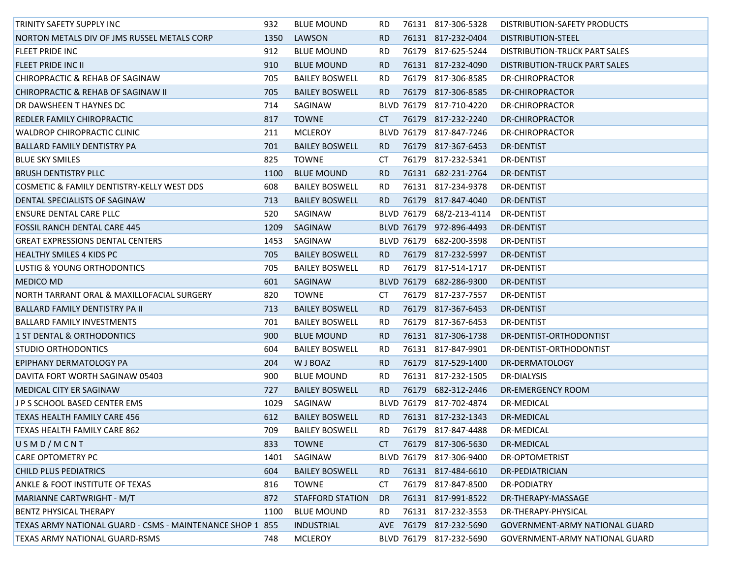| <b>TRINITY SAFETY SUPPLY INC</b>                          | 932  | <b>BLUE MOUND</b>       | RD. | 76131 817-306-5328       | DISTRIBUTION-SAFETY PRODUCTS   |
|-----------------------------------------------------------|------|-------------------------|-----|--------------------------|--------------------------------|
| NORTON METALS DIV OF JMS RUSSEL METALS CORP               | 1350 | LAWSON                  | RD. | 76131 817-232-0404       | DISTRIBUTION-STEEL             |
| <b>FLEET PRIDE INC</b>                                    | 912  | <b>BLUE MOUND</b>       | RD. | 76179 817-625-5244       | DISTRIBUTION-TRUCK PART SALES  |
| <b>FLEET PRIDE INC II</b>                                 | 910  | <b>BLUE MOUND</b>       | RD. | 76131 817-232-4090       | DISTRIBUTION-TRUCK PART SALES  |
| CHIROPRACTIC & REHAB OF SAGINAW                           | 705  | <b>BAILEY BOSWELL</b>   | RD. | 76179 817-306-8585       | DR-CHIROPRACTOR                |
| CHIROPRACTIC & REHAB OF SAGINAW II                        | 705  | <b>BAILEY BOSWELL</b>   | RD. | 76179 817-306-8585       | DR-CHIROPRACTOR                |
| DR DAWSHEEN T HAYNES DC                                   | 714  | SAGINAW                 |     | BLVD 76179 817-710-4220  | DR-CHIROPRACTOR                |
| REDLER FAMILY CHIROPRACTIC                                | 817  | <b>TOWNE</b>            | CT  | 76179 817-232-2240       | DR-CHIROPRACTOR                |
| <b>WALDROP CHIROPRACTIC CLINIC</b>                        | 211  | <b>MCLEROY</b>          |     | BLVD 76179 817-847-7246  | <b>DR-CHIROPRACTOR</b>         |
| BALLARD FAMILY DENTISTRY PA                               | 701  | <b>BAILEY BOSWELL</b>   | RD. | 76179 817-367-6453       | DR-DENTIST                     |
| <b>BLUE SKY SMILES</b>                                    | 825  | <b>TOWNE</b>            | CT  | 76179 817-232-5341       | <b>DR-DENTIST</b>              |
| <b>BRUSH DENTISTRY PLLC</b>                               | 1100 | <b>BLUE MOUND</b>       | RD. | 76131 682-231-2764       | <b>DR-DENTIST</b>              |
| COSMETIC & FAMILY DENTISTRY-KELLY WEST DDS                | 608  | <b>BAILEY BOSWELL</b>   | RD. | 76131 817-234-9378       | DR-DENTIST                     |
| DENTAL SPECIALISTS OF SAGINAW                             | 713  | <b>BAILEY BOSWELL</b>   | RD. | 76179 817-847-4040       | DR-DENTIST                     |
| ENSURE DENTAL CARE PLLC                                   | 520  | SAGINAW                 |     | BLVD 76179 68/2-213-4114 | DR-DENTIST                     |
| <b>FOSSIL RANCH DENTAL CARE 445</b>                       | 1209 | SAGINAW                 |     | BLVD 76179 972-896-4493  | DR-DENTIST                     |
| <b>GREAT EXPRESSIONS DENTAL CENTERS</b>                   | 1453 | SAGINAW                 |     | BLVD 76179 682-200-3598  | DR-DENTIST                     |
| <b>HEALTHY SMILES 4 KIDS PC</b>                           | 705  | <b>BAILEY BOSWELL</b>   | RD. | 76179 817-232-5997       | DR-DENTIST                     |
| LUSTIG & YOUNG ORTHODONTICS                               | 705  | <b>BAILEY BOSWELL</b>   | RD. | 76179 817-514-1717       | <b>DR-DENTIST</b>              |
| <b>MEDICO MD</b>                                          | 601  | SAGINAW                 |     | BLVD 76179 682-286-9300  | DR-DENTIST                     |
| NORTH TARRANT ORAL & MAXILLOFACIAL SURGERY                | 820  | TOWNE                   | CT  | 76179 817-237-7557       | DR-DENTIST                     |
| BALLARD FAMILY DENTISTRY PA II                            | 713  | <b>BAILEY BOSWELL</b>   | RD. | 76179 817-367-6453       | <b>DR-DENTIST</b>              |
| <b>BALLARD FAMILY INVESTMENTS</b>                         | 701  | <b>BAILEY BOSWELL</b>   | RD. | 76179 817-367-6453       | DR-DENTIST                     |
| 1 ST DENTAL & ORTHODONTICS                                | 900  | <b>BLUE MOUND</b>       | RD. | 76131 817-306-1738       | DR-DENTIST-ORTHODONTIST        |
| <b>STUDIO ORTHODONTICS</b>                                | 604  | <b>BAILEY BOSWELL</b>   | RD. | 76131 817-847-9901       | DR-DENTIST-ORTHODONTIST        |
| EPIPHANY DERMATOLOGY PA                                   | 204  | W J BOAZ                | RD. | 76179 817-529-1400       | DR-DERMATOLOGY                 |
| DAVITA FORT WORTH SAGINAW 05403                           | 900  | <b>BLUE MOUND</b>       | RD. | 76131 817-232-1505       | DR-DIALYSIS                    |
| <b>MEDICAL CITY ER SAGINAW</b>                            | 727  | <b>BAILEY BOSWELL</b>   | RD. | 76179 682-312-2446       | <b>DR-EMERGENCY ROOM</b>       |
| J P S SCHOOL BASED CENTER EMS                             | 1029 | SAGINAW                 |     | BLVD 76179 817-702-4874  | DR-MEDICAL                     |
| <b>TEXAS HEALTH FAMILY CARE 456</b>                       | 612  | <b>BAILEY BOSWELL</b>   | RD. | 76131 817-232-1343       | DR-MEDICAL                     |
| TEXAS HEALTH FAMILY CARE 862                              | 709  | <b>BAILEY BOSWELL</b>   | RD. | 76179 817-847-4488       | DR-MEDICAL                     |
| USMD/MCNT                                                 | 833  | <b>TOWNE</b>            | CT. | 76179 817-306-5630       | DR-MEDICAL                     |
| <b>CARE OPTOMETRY PC</b>                                  | 1401 | SAGINAW                 |     | BLVD 76179 817-306-9400  | DR-OPTOMETRIST                 |
| <b>CHILD PLUS PEDIATRICS</b>                              | 604  | <b>BAILEY BOSWELL</b>   | RD. | 76131 817-484-6610       | DR-PEDIATRICIAN                |
| <b>ANKLE &amp; FOOT INSTITUTE OF TEXAS</b>                | 816  | <b>TOWNE</b>            | CT  | 76179 817-847-8500       | <b>DR-PODIATRY</b>             |
| <b>MARIANNE CARTWRIGHT - M/T</b>                          | 872  | <b>STAFFORD STATION</b> | DR. | 76131 817-991-8522       | DR-THERAPY-MASSAGE             |
| <b>BENTZ PHYSICAL THERAPY</b>                             | 1100 | <b>BLUE MOUND</b>       | RD. | 76131 817-232-3553       | DR-THERAPY-PHYSICAL            |
| TEXAS ARMY NATIONAL GUARD - CSMS - MAINTENANCE SHOP 1 855 |      | <b>INDUSTRIAL</b>       | AVE | 76179 817-232-5690       | GOVERNMENT-ARMY NATIONAL GUARD |
| <b>TEXAS ARMY NATIONAL GUARD-RSMS</b>                     | 748  | <b>MCLEROY</b>          |     | BLVD 76179 817-232-5690  | GOVERNMENT-ARMY NATIONAL GUARD |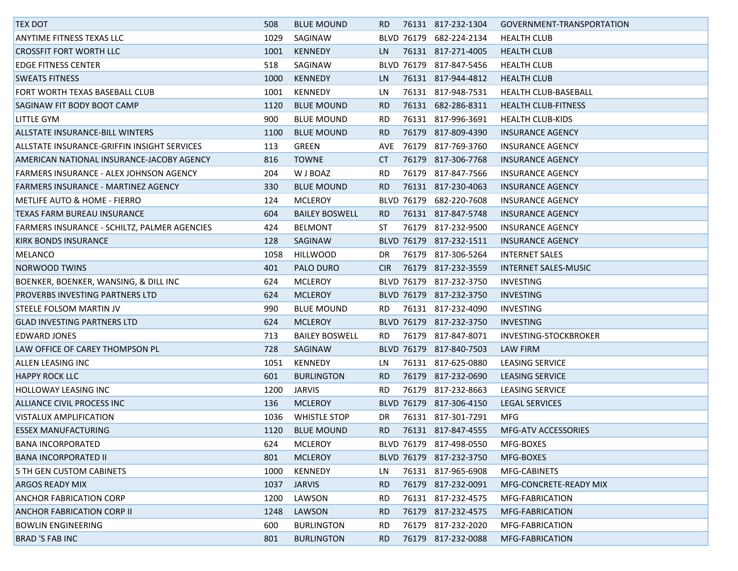| <b>TEX DOT</b>                               | 508  | <b>BLUE MOUND</b>     | RD.        | 76131 817-232-1304      | GOVERNMENT-TRANSPORTATION  |
|----------------------------------------------|------|-----------------------|------------|-------------------------|----------------------------|
| ANYTIME FITNESS TEXAS LLC                    | 1029 | SAGINAW               |            | BLVD 76179 682-224-2134 | <b>HEALTH CLUB</b>         |
| <b>CROSSFIT FORT WORTH LLC</b>               | 1001 | <b>KENNEDY</b>        | LN.        | 76131 817-271-4005      | <b>HEALTH CLUB</b>         |
| <b>EDGE FITNESS CENTER</b>                   | 518  | SAGINAW               |            | BLVD 76179 817-847-5456 | <b>HEALTH CLUB</b>         |
| <b>SWEATS FITNESS</b>                        | 1000 | <b>KENNEDY</b>        | LN.        | 76131 817-944-4812      | <b>HEALTH CLUB</b>         |
| <b>FORT WORTH TEXAS BASEBALL CLUB</b>        | 1001 | KENNEDY               | LN         | 76131 817-948-7531      | HEALTH CLUB-BASEBALL       |
| SAGINAW FIT BODY BOOT CAMP                   | 1120 | <b>BLUE MOUND</b>     | RD.        | 76131 682-286-8311      | <b>HEALTH CLUB-FITNESS</b> |
| <b>LITTLE GYM</b>                            | 900  | <b>BLUE MOUND</b>     | RD.        | 76131 817-996-3691      | <b>HEALTH CLUB-KIDS</b>    |
| ALLSTATE INSURANCE-BILL WINTERS              | 1100 | <b>BLUE MOUND</b>     | RD.        | 76179 817-809-4390      | <b>INSURANCE AGENCY</b>    |
| ALLSTATE INSURANCE-GRIFFIN INSIGHT SERVICES  | 113  | GREEN                 | <b>AVE</b> | 76179 817-769-3760      | INSURANCE AGENCY           |
| AMERICAN NATIONAL INSURANCE-JACOBY AGENCY    | 816  | <b>TOWNE</b>          | CT.        | 76179 817-306-7768      | <b>INSURANCE AGENCY</b>    |
| FARMERS INSURANCE - ALEX JOHNSON AGENCY      | 204  | W J BOAZ              | RD.        | 76179 817-847-7566      | <b>INSURANCE AGENCY</b>    |
| FARMERS INSURANCE - MARTINEZ AGENCY          | 330  | <b>BLUE MOUND</b>     | RD.        | 76131 817-230-4063      | <b>INSURANCE AGENCY</b>    |
| <b>METLIFE AUTO &amp; HOME - FIERRO</b>      | 124  | <b>MCLEROY</b>        |            | BLVD 76179 682-220-7608 | <b>INSURANCE AGENCY</b>    |
| TEXAS FARM BUREAU INSURANCE                  | 604  | <b>BAILEY BOSWELL</b> | RD.        | 76131 817-847-5748      | <b>INSURANCE AGENCY</b>    |
| FARMERS INSURANCE - SCHILTZ, PALMER AGENCIES | 424  | <b>BELMONT</b>        | ST         | 76179 817-232-9500      | <b>INSURANCE AGENCY</b>    |
| KIRK BONDS INSURANCE                         | 128  | SAGINAW               |            | BLVD 76179 817-232-1511 | <b>INSURANCE AGENCY</b>    |
| <b>MELANCO</b>                               | 1058 | <b>HILLWOOD</b>       | DR         | 76179 817-306-5264      | <b>INTERNET SALES</b>      |
| NORWOOD TWINS                                | 401  | PALO DURO             | CIR.       | 76179 817-232-3559      | INTERNET SALES-MUSIC       |
| BOENKER, BOENKER, WANSING, & DILL INC        | 624  | <b>MCLEROY</b>        |            | BLVD 76179 817-232-3750 | <b>INVESTING</b>           |
| <b>PROVERBS INVESTING PARTNERS LTD</b>       | 624  | <b>MCLEROY</b>        |            | BLVD 76179 817-232-3750 | <b>INVESTING</b>           |
| STEELE FOLSOM MARTIN JV                      | 990  | <b>BLUE MOUND</b>     | RD.        | 76131 817-232-4090      | <b>INVESTING</b>           |
| <b>GLAD INVESTING PARTNERS LTD</b>           | 624  | <b>MCLEROY</b>        |            | BLVD 76179 817-232-3750 | <b>INVESTING</b>           |
| <b>EDWARD JONES</b>                          | 713  | <b>BAILEY BOSWELL</b> | RD.        | 76179 817-847-8071      | INVESTING-STOCKBROKER      |
| LAW OFFICE OF CAREY THOMPSON PL              | 728  | SAGINAW               |            | BLVD 76179 817-840-7503 | LAW FIRM                   |
| ALLEN LEASING INC                            | 1051 | KENNEDY               | LN.        | 76131 817-625-0880      | LEASING SERVICE            |
| <b>HAPPY ROCK LLC</b>                        | 601  | BURLINGTON            | RD.        | 76179 817-232-0690      | LEASING SERVICE            |
| <b>HOLLOWAY LEASING INC</b>                  | 1200 | <b>JARVIS</b>         | <b>RD</b>  | 76179 817-232-8663      | <b>LEASING SERVICE</b>     |
| ALLIANCE CIVIL PROCESS INC                   | 136  | <b>MCLEROY</b>        |            | BLVD 76179 817-306-4150 | <b>LEGAL SERVICES</b>      |
| <b>VISTALUX AMPLIFICATION</b>                | 1036 | <b>WHISTLE STOP</b>   | DR         | 76131 817-301-7291      | <b>MFG</b>                 |
| <b>ESSEX MANUFACTURING</b>                   | 1120 | <b>BLUE MOUND</b>     | RD.        | 76131 817-847-4555      | <b>MFG-ATV ACCESSORIES</b> |
| <b>BANA INCORPORATED</b>                     | 624  | MCLEROY               |            | BLVD 76179 817-498-0550 | MFG-BOXES                  |
| <b>BANA INCORPORATED II</b>                  | 801  | <b>MCLEROY</b>        |            | BLVD 76179 817-232-3750 | MFG-BOXES                  |
| 5 TH GEN CUSTOM CABINETS                     | 1000 | KENNEDY               | LN.        | 76131 817-965-6908      | MFG-CABINETS               |
| <b>ARGOS READY MIX</b>                       | 1037 | <b>JARVIS</b>         | RD.        | 76179 817-232-0091      | MFG-CONCRETE-READY MIX     |
| <b>ANCHOR FABRICATION CORP</b>               | 1200 | LAWSON                | <b>RD</b>  | 76131 817-232-4575      | MFG-FABRICATION            |
| <b>ANCHOR FABRICATION CORP II</b>            | 1248 | LAWSON                | RD.        | 76179 817-232-4575      | MFG-FABRICATION            |
| <b>BOWLIN ENGINEERING</b>                    | 600  | <b>BURLINGTON</b>     | <b>RD</b>  | 76179 817-232-2020      | MFG-FABRICATION            |
| <b>BRAD 'S FAB INC</b>                       | 801  | <b>BURLINGTON</b>     | RD.        | 76179 817-232-0088      | MFG-FABRICATION            |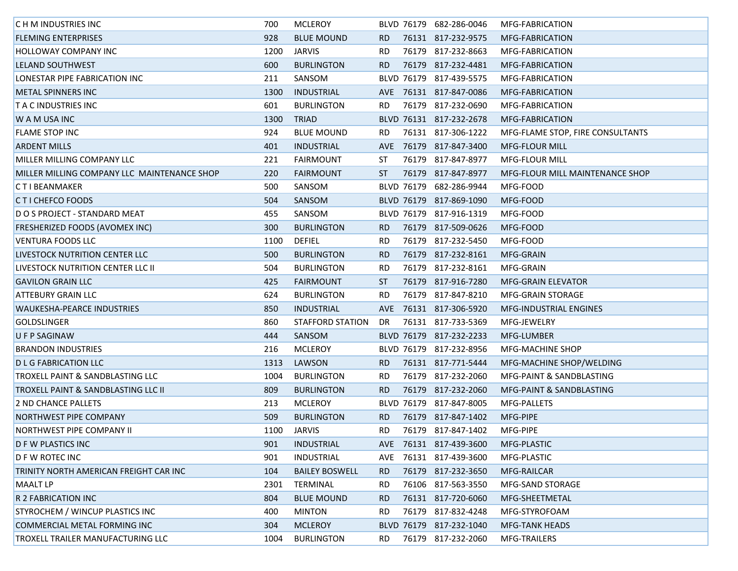| <b>CHM INDUSTRIES INC</b>                      | 700  | <b>MCLEROY</b>          |            |            | BLVD 76179 682-286-0046 | MFG-FABRICATION                  |
|------------------------------------------------|------|-------------------------|------------|------------|-------------------------|----------------------------------|
| <b>FLEMING ENTERPRISES</b>                     | 928  | <b>BLUE MOUND</b>       | RD.        |            | 76131 817-232-9575      | MFG-FABRICATION                  |
| <b>HOLLOWAY COMPANY INC</b>                    | 1200 | <b>JARVIS</b>           | <b>RD</b>  |            | 76179 817-232-8663      | MFG-FABRICATION                  |
| LELAND SOUTHWEST                               | 600  | <b>BURLINGTON</b>       | <b>RD</b>  |            | 76179 817-232-4481      | <b>MFG-FABRICATION</b>           |
| LONESTAR PIPE FABRICATION INC                  | 211  | SANSOM                  |            |            | BLVD 76179 817-439-5575 | MFG-FABRICATION                  |
| <b>METAL SPINNERS INC</b>                      | 1300 | INDUSTRIAL              |            |            | AVE 76131 817-847-0086  | MFG-FABRICATION                  |
| <b>T A C INDUSTRIES INC</b>                    | 601  | <b>BURLINGTON</b>       | RD.        |            | 76179 817-232-0690      | MFG-FABRICATION                  |
| W A M USA INC                                  | 1300 | <b>TRIAD</b>            |            |            | BLVD 76131 817-232-2678 | MFG-FABRICATION                  |
| <b>FLAME STOP INC</b>                          | 924  | <b>BLUE MOUND</b>       | <b>RD</b>  |            | 76131 817-306-1222      | MFG-FLAME STOP, FIRE CONSULTANTS |
| <b>ARDENT MILLS</b>                            | 401  | <b>INDUSTRIAL</b>       | <b>AVE</b> |            | 76179 817-847-3400      | MFG-FLOUR MILL                   |
| MILLER MILLING COMPANY LLC                     | 221  | <b>FAIRMOUNT</b>        | ST         |            | 76179 817-847-8977      | <b>MFG-FLOUR MILL</b>            |
| MILLER MILLING COMPANY LLC MAINTENANCE SHOP    | 220  | <b>FAIRMOUNT</b>        | ST         |            | 76179 817-847-8977      | MFG-FLOUR MILL MAINTENANCE SHOP  |
| <b>CTIBEANMAKER</b>                            | 500  | SANSOM                  |            |            | BLVD 76179 682-286-9944 | MFG-FOOD                         |
| <b>CTI CHEFCO FOODS</b>                        | 504  | SANSOM                  |            |            | BLVD 76179 817-869-1090 | MFG-FOOD                         |
| D O S PROJECT - STANDARD MEAT                  | 455  | SANSOM                  |            |            | BLVD 76179 817-916-1319 | MFG-FOOD                         |
| <b>FRESHERIZED FOODS (AVOMEX INC)</b>          | 300  | <b>BURLINGTON</b>       | RD.        |            | 76179 817-509-0626      | MFG-FOOD                         |
| <b>VENTURA FOODS LLC</b>                       | 1100 | <b>DEFIEL</b>           | RD.        |            | 76179 817-232-5450      | MFG-FOOD                         |
| LIVESTOCK NUTRITION CENTER LLC                 | 500  | <b>BURLINGTON</b>       | RD.        |            | 76179 817-232-8161      | MFG-GRAIN                        |
| LIVESTOCK NUTRITION CENTER LLC III             | 504  | <b>BURLINGTON</b>       | RD.        |            | 76179 817-232-8161      | MFG-GRAIN                        |
| <b>GAVILON GRAIN LLC</b>                       | 425  | <b>FAIRMOUNT</b>        | ST         |            | 76179 817-916-7280      | <b>MFG-GRAIN ELEVATOR</b>        |
| <b>ATTEBURY GRAIN LLC</b>                      | 624  | <b>BURLINGTON</b>       | <b>RD</b>  |            | 76179 817-847-8210      | <b>MFG-GRAIN STORAGE</b>         |
| WAUKESHA-PEARCE INDUSTRIES                     | 850  | <b>INDUSTRIAL</b>       | <b>AVE</b> |            | 76131 817-306-5920      | <b>MFG-INDUSTRIAL ENGINES</b>    |
| <b>GOLDSLINGER</b>                             | 860  | <b>STAFFORD STATION</b> | DR         |            | 76131 817-733-5369      | MFG-JEWELRY                      |
| U F P SAGINAW                                  | 444  | SANSOM                  |            |            | BLVD 76179 817-232-2233 | MFG-LUMBER                       |
| <b>BRANDON INDUSTRIES</b>                      | 216  | <b>MCLEROY</b>          |            |            | BLVD 76179 817-232-8956 | MFG-MACHINE SHOP                 |
| <b>DLG FABRICATION LLC</b>                     | 1313 | LAWSON                  | RD.        |            | 76131 817-771-5444      | MFG-MACHINE SHOP/WELDING         |
| <b>TROXELL PAINT &amp; SANDBLASTING LLC</b>    | 1004 | <b>BURLINGTON</b>       | RD.        |            | 76179 817-232-2060      | MFG-PAINT & SANDBLASTING         |
| <b>TROXELL PAINT &amp; SANDBLASTING LLC II</b> | 809  | <b>BURLINGTON</b>       | <b>RD</b>  |            | 76179 817-232-2060      | MFG-PAINT & SANDBLASTING         |
| 2 ND CHANCE PALLETS                            | 213  | <b>MCLEROY</b>          |            |            | BLVD 76179 817-847-8005 | MFG-PALLETS                      |
| NORTHWEST PIPE COMPANY                         | 509  | <b>BURLINGTON</b>       | <b>RD</b>  |            | 76179 817-847-1402      | MFG-PIPE                         |
| <b>NORTHWEST PIPE COMPANY II</b>               | 1100 | JARVIS                  | RD.        |            | 76179 817-847-1402      | MFG-PIPE                         |
| <b>D F W PLASTICS INC</b>                      | 901  | <b>INDUSTRIAL</b>       |            |            | AVE 76131 817-439-3600  | MFG-PLASTIC                      |
| D F W ROTEC INC                                | 901  | <b>INDUSTRIAL</b>       | AVE.       |            | 76131 817-439-3600      | MFG-PLASTIC                      |
| TRINITY NORTH AMERICAN FREIGHT CAR INC         | 104  | <b>BAILEY BOSWELL</b>   | <b>RD</b>  |            | 76179 817-232-3650      | MFG-RAILCAR                      |
| <b>MAALT LP</b>                                | 2301 | TERMINAL                | RD.        |            | 76106 817-563-3550      | MFG-SAND STORAGE                 |
| R 2 FABRICATION INC                            | 804  | <b>BLUE MOUND</b>       | RD.        |            | 76131 817-720-6060      | MFG-SHEETMETAL                   |
| <b>STYROCHEM / WINCUP PLASTICS INC</b>         | 400  | <b>MINTON</b>           | RD.        |            | 76179 817-832-4248      | MFG-STYROFOAM                    |
| COMMERCIAL METAL FORMING INC                   | 304  | <b>MCLEROY</b>          |            | BLVD 76179 | 817-232-1040            | <b>MFG-TANK HEADS</b>            |
| TROXELL TRAILER MANUFACTURING LLC              | 1004 | <b>BURLINGTON</b>       | RD.        |            | 76179 817-232-2060      | MFG-TRAILERS                     |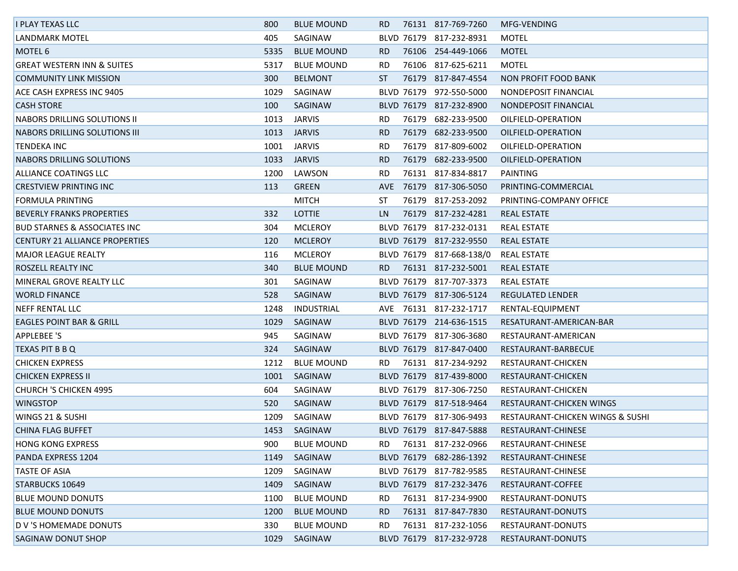| I PLAY TEXAS LLC                        | 800  | <b>BLUE MOUND</b> | RD.  |            | 76131 817-769-7260       | MFG-VENDING                      |
|-----------------------------------------|------|-------------------|------|------------|--------------------------|----------------------------------|
| LANDMARK MOTEL                          | 405  | SAGINAW           |      |            | BLVD 76179 817-232-8931  | <b>MOTEL</b>                     |
| <b>MOTEL 6</b>                          | 5335 | <b>BLUE MOUND</b> | RD.  |            | 76106 254-449-1066       | <b>MOTEL</b>                     |
| <b>GREAT WESTERN INN &amp; SUITES</b>   | 5317 | <b>BLUE MOUND</b> | RD.  |            | 76106 817-625-6211       | <b>MOTEL</b>                     |
| <b>COMMUNITY LINK MISSION</b>           | 300  | <b>BELMONT</b>    | ST   |            | 76179 817-847-4554       | <b>NON PROFIT FOOD BANK</b>      |
| <b>ACE CASH EXPRESS INC 9405</b>        | 1029 | SAGINAW           |      |            | BLVD 76179 972-550-5000  | NONDEPOSIT FINANCIAL             |
| <b>CASH STORE</b>                       | 100  | SAGINAW           |      |            | BLVD 76179 817-232-8900  | NONDEPOSIT FINANCIAL             |
| <b>NABORS DRILLING SOLUTIONS II</b>     | 1013 | <b>JARVIS</b>     | RD.  |            | 76179 682-233-9500       | OILFIELD-OPERATION               |
| NABORS DRILLING SOLUTIONS III           | 1013 | <b>JARVIS</b>     | RD.  | 76179      | 682-233-9500             | OILFIELD-OPERATION               |
| <b>TENDEKA INC</b>                      | 1001 | <b>JARVIS</b>     | RD.  |            | 76179 817-809-6002       | OILFIELD-OPERATION               |
| <b>NABORS DRILLING SOLUTIONS</b>        | 1033 | <b>JARVIS</b>     | RD.  | 76179      | 682-233-9500             | OILFIELD-OPERATION               |
| ALLIANCE COATINGS LLC                   | 1200 | LAWSON            | RD.  |            | 76131 817-834-8817       | PAINTING                         |
| <b>CRESTVIEW PRINTING INC</b>           | 113  | <b>GREEN</b>      | AVE. |            | 76179 817-306-5050       | PRINTING-COMMERCIAL              |
| FORMULA PRINTING                        |      | <b>MITCH</b>      | ST   |            | 76179 817-253-2092       | PRINTING-COMPANY OFFICE          |
| <b>BEVERLY FRANKS PROPERTIES</b>        | 332  | <b>LOTTIE</b>     | LN.  |            | 76179 817-232-4281       | <b>REAL ESTATE</b>               |
| <b>BUD STARNES &amp; ASSOCIATES INC</b> | 304  | <b>MCLEROY</b>    |      |            | BLVD 76179 817-232-0131  | <b>REAL ESTATE</b>               |
| CENTURY 21 ALLIANCE PROPERTIES          | 120  | <b>MCLEROY</b>    |      |            | BLVD 76179 817-232-9550  | <b>REAL ESTATE</b>               |
| <b>MAJOR LEAGUE REALTY</b>              | 116  | <b>MCLEROY</b>    |      |            | BLVD 76179 817-668-138/0 | <b>REAL ESTATE</b>               |
| ROSZELL REALTY INC                      | 340  | <b>BLUE MOUND</b> | RD.  |            | 76131 817-232-5001       | REAL ESTATE                      |
| MINERAL GROVE REALTY LLC                | 301  | SAGINAW           |      |            | BLVD 76179 817-707-3373  | REAL ESTATE                      |
| <b>WORLD FINANCE</b>                    | 528  | SAGINAW           |      |            | BLVD 76179 817-306-5124  | REGULATED LENDER                 |
| <b>NEFF RENTAL LLC</b>                  | 1248 | INDUSTRIAL        |      |            | AVE 76131 817-232-1717   | RENTAL-EQUIPMENT                 |
| <b>EAGLES POINT BAR &amp; GRILL</b>     | 1029 | SAGINAW           |      |            | BLVD 76179 214-636-1515  | RESATURANT-AMERICAN-BAR          |
| <b>APPLEBEE 'S</b>                      | 945  | SAGINAW           |      |            | BLVD 76179 817-306-3680  | RESTAURANT-AMERICAN              |
| TEXAS PIT B B Q                         | 324  | SAGINAW           |      |            | BLVD 76179 817-847-0400  | RESTAURANT-BARBECUE              |
| <b>CHICKEN EXPRESS</b>                  | 1212 | <b>BLUE MOUND</b> | RD.  |            | 76131 817-234-9292       | RESTAURANT-CHICKEN               |
| <b>CHICKEN EXPRESS II</b>               | 1001 | SAGINAW           |      |            | BLVD 76179 817-439-8000  | RESTAURANT-CHICKEN               |
| <b>CHURCH 'S CHICKEN 4995</b>           | 604  | SAGINAW           |      |            | BLVD 76179 817-306-7250  | RESTAURANT-CHICKEN               |
| <b>WINGSTOP</b>                         | 520  | SAGINAW           |      |            | BLVD 76179 817-518-9464  | RESTAURANT-CHICKEN WINGS         |
| <b>WINGS 21 &amp; SUSHI</b>             | 1209 | SAGINAW           |      |            | BLVD 76179 817-306-9493  | RESTAURANT-CHICKEN WINGS & SUSHI |
| CHINA FLAG BUFFET                       | 1453 | SAGINAW           |      |            | BLVD 76179 817-847-5888  | RESTAURANT-CHINESE               |
| <b>HONG KONG EXPRESS</b>                | 900  | <b>BLUE MOUND</b> | RD.  |            | 76131 817-232-0966       | RESTAURANT-CHINESE               |
| PANDA EXPRESS 1204                      | 1149 | SAGINAW           |      | BLVD 76179 | 682-286-1392             | RESTAURANT-CHINESE               |
| <b>TASTE OF ASIA</b>                    | 1209 | SAGINAW           |      |            | BLVD 76179 817-782-9585  | RESTAURANT-CHINESE               |
| <b>STARBUCKS 10649</b>                  | 1409 | SAGINAW           |      |            | BLVD 76179 817-232-3476  | RESTAURANT-COFFEE                |
| <b>BLUE MOUND DONUTS</b>                | 1100 | <b>BLUE MOUND</b> | RD.  |            | 76131 817-234-9900       | RESTAURANT-DONUTS                |
| <b>BLUE MOUND DONUTS</b>                | 1200 | <b>BLUE MOUND</b> | RD.  |            | 76131 817-847-7830       | RESTAURANT-DONUTS                |
| D V 'S HOMEMADE DONUTS                  | 330  | <b>BLUE MOUND</b> | RD.  |            | 76131 817-232-1056       | RESTAURANT-DONUTS                |
| SAGINAW DONUT SHOP                      | 1029 | SAGINAW           |      |            | BLVD 76179 817-232-9728  | RESTAURANT-DONUTS                |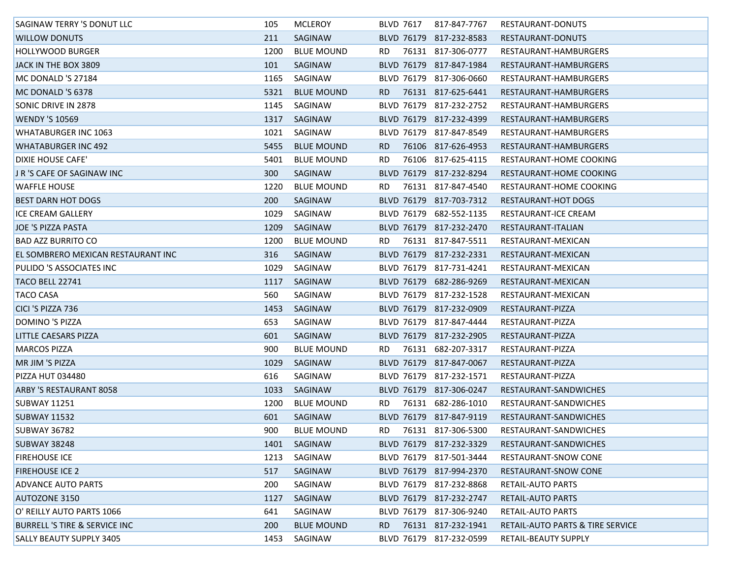| SAGINAW TERRY 'S DONUT LLC               | 105  | MCLEROY           |     | <b>BLVD 7617</b> | 817-847-7767            | RESTAURANT-DONUTS                |
|------------------------------------------|------|-------------------|-----|------------------|-------------------------|----------------------------------|
| <b>WILLOW DONUTS</b>                     | 211  | SAGINAW           |     |                  | BLVD 76179 817-232-8583 | RESTAURANT-DONUTS                |
| <b>HOLLYWOOD BURGER</b>                  | 1200 | <b>BLUE MOUND</b> | RD. |                  | 76131 817-306-0777      | RESTAURANT-HAMBURGERS            |
| JACK IN THE BOX 3809                     | 101  | SAGINAW           |     |                  | BLVD 76179 817-847-1984 | RESTAURANT-HAMBURGERS            |
| MC DONALD 'S 27184                       | 1165 | SAGINAW           |     |                  | BLVD 76179 817-306-0660 | RESTAURANT-HAMBURGERS            |
| MC DONALD 'S 6378                        | 5321 | <b>BLUE MOUND</b> | RD. |                  | 76131 817-625-6441      | RESTAURANT-HAMBURGERS            |
| SONIC DRIVE IN 2878                      | 1145 | SAGINAW           |     |                  | BLVD 76179 817-232-2752 | RESTAURANT-HAMBURGERS            |
| <b>WENDY 'S 10569</b>                    | 1317 | SAGINAW           |     |                  | BLVD 76179 817-232-4399 | RESTAURANT-HAMBURGERS            |
| <b>WHATABURGER INC 1063</b>              | 1021 | SAGINAW           |     |                  | BLVD 76179 817-847-8549 | RESTAURANT-HAMBURGERS            |
| <b>WHATABURGER INC 492</b>               | 5455 | <b>BLUE MOUND</b> | RD. |                  | 76106 817-626-4953      | RESTAURANT-HAMBURGERS            |
| DIXIE HOUSE CAFE'                        | 5401 | <b>BLUE MOUND</b> | RD. |                  | 76106 817-625-4115      | RESTAURANT-HOME COOKING          |
| J R 'S CAFE OF SAGINAW INC               | 300  | SAGINAW           |     |                  | BLVD 76179 817-232-8294 | RESTAURANT-HOME COOKING          |
| WAFFLE HOUSE                             | 1220 | <b>BLUE MOUND</b> | RD. |                  | 76131 817-847-4540      | RESTAURANT-HOME COOKING          |
| <b>BEST DARN HOT DOGS</b>                | 200  | SAGINAW           |     |                  | BLVD 76179 817-703-7312 | RESTAURANT-HOT DOGS              |
| ICE CREAM GALLERY                        | 1029 | SAGINAW           |     |                  | BLVD 76179 682-552-1135 | RESTAURANT-ICE CREAM             |
| JOE 'S PIZZA PASTA                       | 1209 | SAGINAW           |     |                  | BLVD 76179 817-232-2470 | RESTAURANT-ITALIAN               |
| <b>BAD AZZ BURRITO CO</b>                | 1200 | <b>BLUE MOUND</b> | RD. |                  | 76131 817-847-5511      | RESTAURANT-MEXICAN               |
| EL SOMBRERO MEXICAN RESTAURANT INC       | 316  | SAGINAW           |     |                  | BLVD 76179 817-232-2331 | RESTAURANT-MEXICAN               |
| PULIDO 'S ASSOCIATES INC                 | 1029 | SAGINAW           |     |                  | BLVD 76179 817-731-4241 | RESTAURANT-MEXICAN               |
| TACO BELL 22741                          | 1117 | SAGINAW           |     |                  | BLVD 76179 682-286-9269 | RESTAURANT-MEXICAN               |
| <b>TACO CASA</b>                         | 560  | SAGINAW           |     |                  | BLVD 76179 817-232-1528 | RESTAURANT-MEXICAN               |
| CICI 'S PIZZA 736                        | 1453 | SAGINAW           |     |                  | BLVD 76179 817-232-0909 | RESTAURANT-PIZZA                 |
| DOMINO 'S PIZZA                          | 653  | SAGINAW           |     |                  | BLVD 76179 817-847-4444 | RESTAURANT-PIZZA                 |
| LITTLE CAESARS PIZZA                     | 601  | SAGINAW           |     |                  | BLVD 76179 817-232-2905 | RESTAURANT-PIZZA                 |
| <b>MARCOS PIZZA</b>                      | 900  | <b>BLUE MOUND</b> | RD. |                  | 76131 682-207-3317      | RESTAURANT-PIZZA                 |
| <b>MR JIM 'S PIZZA</b>                   | 1029 | SAGINAW           |     |                  | BLVD 76179 817-847-0067 | RESTAURANT-PIZZA                 |
| PIZZA HUT 034480                         | 616  | SAGINAW           |     |                  | BLVD 76179 817-232-1571 | RESTAURANT-PIZZA                 |
| <b>ARBY 'S RESTAURANT 8058</b>           | 1033 | SAGINAW           |     |                  | BLVD 76179 817-306-0247 | RESTAURANT-SANDWICHES            |
| SUBWAY 11251                             | 1200 | <b>BLUE MOUND</b> | RD. |                  | 76131 682-286-1010      | RESTAURANT-SANDWICHES            |
| <b>SUBWAY 11532</b>                      | 601  | SAGINAW           |     |                  | BLVD 76179 817-847-9119 | RESTAURANT-SANDWICHES            |
| <b>SUBWAY 36782</b>                      | 900  | <b>BLUE MOUND</b> | RD. |                  | 76131 817-306-5300      | RESTAURANT-SANDWICHES            |
| <b>SUBWAY 38248</b>                      | 1401 | SAGINAW           |     |                  | BLVD 76179 817-232-3329 | RESTAURANT-SANDWICHES            |
| <b>FIREHOUSE ICE</b>                     | 1213 | SAGINAW           |     |                  | BLVD 76179 817-501-3444 | RESTAURANT-SNOW CONE             |
| <b>FIREHOUSE ICE 2</b>                   | 517  | SAGINAW           |     |                  | BLVD 76179 817-994-2370 | RESTAURANT-SNOW CONE             |
| <b>ADVANCE AUTO PARTS</b>                | 200  | SAGINAW           |     |                  | BLVD 76179 817-232-8868 | RETAIL-AUTO PARTS                |
| <b>AUTOZONE 3150</b>                     | 1127 | SAGINAW           |     |                  | BLVD 76179 817-232-2747 | RETAIL-AUTO PARTS                |
| O' REILLY AUTO PARTS 1066                | 641  | SAGINAW           |     |                  | BLVD 76179 817-306-9240 | RETAIL-AUTO PARTS                |
| <b>BURRELL 'S TIRE &amp; SERVICE INC</b> | 200  | <b>BLUE MOUND</b> | RD. |                  | 76131 817-232-1941      | RETAIL-AUTO PARTS & TIRE SERVICE |
| <b>SALLY BEAUTY SUPPLY 3405</b>          | 1453 | SAGINAW           |     |                  | BLVD 76179 817-232-0599 | <b>RETAIL-BEAUTY SUPPLY</b>      |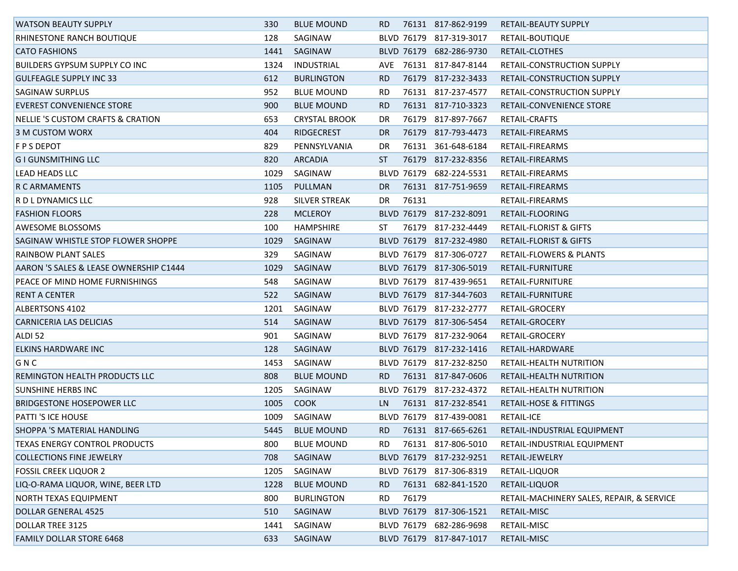| <b>WATSON BEAUTY SUPPLY</b>            | 330  | <b>BLUE MOUND</b>    | RD.       |            | 76131 817-862-9199      | RETAIL-BEAUTY SUPPLY                      |
|----------------------------------------|------|----------------------|-----------|------------|-------------------------|-------------------------------------------|
| <b>RHINESTONE RANCH BOUTIQUE</b>       | 128  | SAGINAW              |           |            | BLVD 76179 817-319-3017 | RETAIL-BOUTIQUE                           |
| <b>CATO FASHIONS</b>                   | 1441 | SAGINAW              |           | BLVD 76179 | 682-286-9730            | RETAIL-CLOTHES                            |
| <b>BUILDERS GYPSUM SUPPLY CO INC</b>   | 1324 | INDUSTRIAL           | AVE.      |            | 76131 817-847-8144      | <b>RETAIL-CONSTRUCTION SUPPLY</b>         |
| <b>GULFEAGLE SUPPLY INC 33</b>         | 612  | <b>BURLINGTON</b>    | RD.       |            | 76179 817-232-3433      | RETAIL-CONSTRUCTION SUPPLY                |
| <b>SAGINAW SURPLUS</b>                 | 952  | <b>BLUE MOUND</b>    | RD.       |            | 76131 817-237-4577      | RETAIL-CONSTRUCTION SUPPLY                |
| <b>EVEREST CONVENIENCE STORE</b>       | 900  | <b>BLUE MOUND</b>    | RD.       |            | 76131 817-710-3323      | RETAIL-CONVENIENCE STORE                  |
| NELLIE 'S CUSTOM CRAFTS & CRATION      | 653  | <b>CRYSTAL BROOK</b> | DR        |            | 76179 817-897-7667      | RETAIL-CRAFTS                             |
| 3 M CUSTOM WORX                        | 404  | <b>RIDGECREST</b>    | <b>DR</b> | 76179      | 817-793-4473            | RETAIL-FIREARMS                           |
| <b>F P S DEPOT</b>                     | 829  | PENNSYLVANIA         | DR.       |            | 76131 361-648-6184      | RETAIL-FIREARMS                           |
| <b>GI GUNSMITHING LLC</b>              | 820  | <b>ARCADIA</b>       | ST        |            | 76179 817-232-8356      | RETAIL-FIREARMS                           |
| <b>LEAD HEADS LLC</b>                  | 1029 | SAGINAW              |           |            | BLVD 76179 682-224-5531 | RETAIL-FIREARMS                           |
| R C ARMAMENTS                          | 1105 | PULLMAN              | DR.       |            | 76131 817-751-9659      | RETAIL-FIREARMS                           |
| R D L DYNAMICS LLC                     | 928  | <b>SILVER STREAK</b> | DR        | 76131      |                         | RETAIL-FIREARMS                           |
| <b>FASHION FLOORS</b>                  | 228  | <b>MCLEROY</b>       |           |            | BLVD 76179 817-232-8091 | RETAIL-FLOORING                           |
| <b>AWESOME BLOSSOMS</b>                | 100  | <b>HAMPSHIRE</b>     | ST        |            | 76179 817-232-4449      | <b>RETAIL-FLORIST &amp; GIFTS</b>         |
| SAGINAW WHISTLE STOP FLOWER SHOPPE     | 1029 | SAGINAW              |           |            | BLVD 76179 817-232-4980 | <b>RETAIL-FLORIST &amp; GIFTS</b>         |
| RAINBOW PLANT SALES                    | 329  | SAGINAW              |           |            | BLVD 76179 817-306-0727 | RETAIL-FLOWERS & PLANTS                   |
| AARON 'S SALES & LEASE OWNERSHIP C1444 | 1029 | SAGINAW              |           |            | BLVD 76179 817-306-5019 | RETAIL-FURNITURE                          |
| PEACE OF MIND HOME FURNISHINGS         | 548  | SAGINAW              |           |            | BLVD 76179 817-439-9651 | RETAIL-FURNITURE                          |
| <b>RENT A CENTER</b>                   | 522  | SAGINAW              |           |            | BLVD 76179 817-344-7603 | RETAIL-FURNITURE                          |
| <b>ALBERTSONS 4102</b>                 | 1201 | SAGINAW              |           |            | BLVD 76179 817-232-2777 | <b>RETAIL-GROCERY</b>                     |
| <b>CARNICERIA LAS DELICIAS</b>         | 514  | SAGINAW              |           |            | BLVD 76179 817-306-5454 | RETAIL-GROCERY                            |
| ALDI <sub>52</sub>                     | 901  | SAGINAW              |           |            | BLVD 76179 817-232-9064 | RETAIL-GROCERY                            |
| <b>ELKINS HARDWARE INC</b>             | 128  | SAGINAW              |           |            | BLVD 76179 817-232-1416 | RETAIL-HARDWARE                           |
| GNC                                    | 1453 | SAGINAW              |           |            | BLVD 76179 817-232-8250 | RETAIL-HEALTH NUTRITION                   |
| REMINGTON HEALTH PRODUCTS LLC          | 808  | <b>BLUE MOUND</b>    | RD.       |            | 76131 817-847-0606      | RETAIL-HEALTH NUTRITION                   |
| <b>SUNSHINE HERBS INC</b>              | 1205 | SAGINAW              |           |            | BLVD 76179 817-232-4372 | RETAIL-HEALTH NUTRITION                   |
| <b>BRIDGESTONE HOSEPOWER LLC</b>       | 1005 | <b>COOK</b>          | LN.       |            | 76131 817-232-8541      | <b>RETAIL-HOSE &amp; FITTINGS</b>         |
| <b>PATTI 'S ICE HOUSE</b>              | 1009 | SAGINAW              |           |            | BLVD 76179 817-439-0081 | <b>RETAIL-ICE</b>                         |
| <b>SHOPPA 'S MATERIAL HANDLING</b>     | 5445 | <b>BLUE MOUND</b>    | RD.       |            | 76131 817-665-6261      | RETAIL-INDUSTRIAL EQUIPMENT               |
| <b>TEXAS ENERGY CONTROL PRODUCTS</b>   | 800  | <b>BLUE MOUND</b>    | RD.       |            | 76131 817-806-5010      | RETAIL-INDUSTRIAL EQUIPMENT               |
| <b>COLLECTIONS FINE JEWELRY</b>        | 708  | SAGINAW              |           |            | BLVD 76179 817-232-9251 | RETAIL-JEWELRY                            |
| <b>FOSSIL CREEK LIQUOR 2</b>           | 1205 | SAGINAW              |           |            | BLVD 76179 817-306-8319 | RETAIL-LIQUOR                             |
| LIQ-O-RAMA LIQUOR, WINE, BEER LTD      | 1228 | <b>BLUE MOUND</b>    | RD.       | 76131      | 682-841-1520            | RETAIL-LIQUOR                             |
| <b>NORTH TEXAS EQUIPMENT</b>           | 800  | <b>BURLINGTON</b>    | RD.       | 76179      |                         | RETAIL-MACHINERY SALES, REPAIR, & SERVICE |
| DOLLAR GENERAL 4525                    | 510  | SAGINAW              |           |            | BLVD 76179 817-306-1521 | RETAIL-MISC                               |
| DOLLAR TREE 3125                       | 1441 | SAGINAW              |           | BLVD 76179 | 682-286-9698            | RETAIL-MISC                               |
| <b>FAMILY DOLLAR STORE 6468</b>        | 633  | SAGINAW              |           |            | BLVD 76179 817-847-1017 | RETAIL-MISC                               |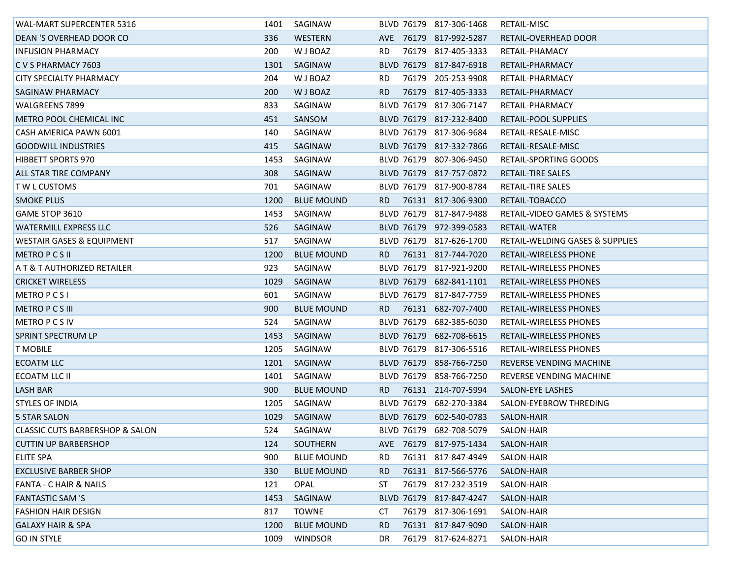| <b>WAL-MART SUPERCENTER 5316</b>     | 1401 | SAGINAW           |     |                   | BLVD 76179 817-306-1468 | RETAIL-MISC                     |
|--------------------------------------|------|-------------------|-----|-------------------|-------------------------|---------------------------------|
| <b>DEAN 'S OVERHEAD DOOR CO</b>      | 336  | WESTERN           |     |                   | AVE 76179 817-992-5287  | RETAIL-OVERHEAD DOOR            |
| <b>INFUSION PHARMACY</b>             | 200  | W J BOAZ          | RD. |                   | 76179 817-405-3333      | RETAIL-PHAMACY                  |
| C V S PHARMACY 7603                  | 1301 | SAGINAW           |     |                   | BLVD 76179 817-847-6918 | RETAIL-PHARMACY                 |
| CITY SPECIALTY PHARMACY              | 204  | W J BOAZ          | RD. |                   | 76179 205-253-9908      | RETAIL-PHARMACY                 |
| <b>SAGINAW PHARMACY</b>              | 200  | W J BOAZ          | RD. |                   | 76179 817-405-3333      | RETAIL-PHARMACY                 |
| WALGREENS 7899                       | 833  | SAGINAW           |     |                   | BLVD 76179 817-306-7147 | RETAIL-PHARMACY                 |
| METRO POOL CHEMICAL INC              | 451  | SANSOM            |     |                   | BLVD 76179 817-232-8400 | RETAIL-POOL SUPPLIES            |
| CASH AMERICA PAWN 6001               | 140  | SAGINAW           |     |                   | BLVD 76179 817-306-9684 | RETAIL-RESALE-MISC              |
| <b>GOODWILL INDUSTRIES</b>           | 415  | SAGINAW           |     |                   | BLVD 76179 817-332-7866 | RETAIL-RESALE-MISC              |
| <b>HIBBETT SPORTS 970</b>            | 1453 | SAGINAW           |     |                   | BLVD 76179 807-306-9450 | <b>RETAIL-SPORTING GOODS</b>    |
| <b>ALL STAR TIRE COMPANY</b>         | 308  | SAGINAW           |     |                   | BLVD 76179 817-757-0872 | RETAIL-TIRE SALES               |
| <b>TWLCUSTOMS</b>                    | 701  | SAGINAW           |     |                   | BLVD 76179 817-900-8784 | RETAIL-TIRE SALES               |
| <b>SMOKE PLUS</b>                    | 1200 | <b>BLUE MOUND</b> | RD. |                   | 76131 817-306-9300      | RETAIL-TOBACCO                  |
| GAME STOP 3610                       | 1453 | SAGINAW           |     |                   | BLVD 76179 817-847-9488 | RETAIL-VIDEO GAMES & SYSTEMS    |
| <b>WATERMILL EXPRESS LLC</b>         | 526  | SAGINAW           |     |                   | BLVD 76179 972-399-0583 | RETAIL-WATER                    |
| <b>WESTAIR GASES &amp; EQUIPMENT</b> | 517  | SAGINAW           |     |                   | BLVD 76179 817-626-1700 | RETAIL-WELDING GASES & SUPPLIES |
| <b>METROPCSII</b>                    | 1200 | <b>BLUE MOUND</b> | RD. |                   | 76131 817-744-7020      | RETAIL-WIRELESS PHONE           |
| A T & T AUTHORIZED RETAILER          | 923  | SAGINAW           |     |                   | BLVD 76179 817-921-9200 | RETAIL-WIRELESS PHONES          |
| <b>CRICKET WIRELESS</b>              | 1029 | SAGINAW           |     |                   | BLVD 76179 682-841-1101 | RETAIL-WIRELESS PHONES          |
| <b>METROPCSI</b>                     | 601  | SAGINAW           |     |                   | BLVD 76179 817-847-7759 | RETAIL-WIRELESS PHONES          |
| <b>METRO P C S III</b>               | 900  | <b>BLUE MOUND</b> | RD. |                   | 76131 682-707-7400      | RETAIL-WIRELESS PHONES          |
| <b>METRO P C S IV</b>                | 524  | SAGINAW           |     |                   | BLVD 76179 682-385-6030 | RETAIL-WIRELESS PHONES          |
| <b>SPRINT SPECTRUM LP</b>            | 1453 | SAGINAW           |     |                   | BLVD 76179 682-708-6615 | RETAIL-WIRELESS PHONES          |
| <b>T MOBILE</b>                      | 1205 | SAGINAW           |     |                   | BLVD 76179 817-306-5516 | RETAIL-WIRELESS PHONES          |
| <b>ECOATM LLC</b>                    | 1201 | SAGINAW           |     |                   | BLVD 76179 858-766-7250 | REVERSE VENDING MACHINE         |
| ECOATM LLC II                        | 1401 | SAGINAW           |     |                   | BLVD 76179 858-766-7250 | REVERSE VENDING MACHINE         |
| <b>LASH BAR</b>                      | 900  | <b>BLUE MOUND</b> | RD. |                   | 76131 214-707-5994      | <b>SALON-EYE LASHES</b>         |
| <b>STYLES OF INDIA</b>               | 1205 | SAGINAW           |     |                   | BLVD 76179 682-270-3384 | SALON-EYEBROW THREDING          |
| 5 STAR SALON                         | 1029 | SAGINAW           |     | <b>BLVD 76179</b> | 602-540-0783            | SALON-HAIR                      |
| CLASSIC CUTS BARBERSHOP & SALON      | 524  | SAGINAW           |     |                   | BLVD 76179 682-708-5079 | SALON-HAIR                      |
| <b>CUTTIN UP BARBERSHOP</b>          | 124  | SOUTHERN          |     |                   | AVE 76179 817-975-1434  | SALON-HAIR                      |
| <b>ELITE SPA</b>                     | 900  | <b>BLUE MOUND</b> | RD. |                   | 76131 817-847-4949      | SALON-HAIR                      |
| <b>EXCLUSIVE BARBER SHOP</b>         | 330  | <b>BLUE MOUND</b> | RD. |                   | 76131 817-566-5776      | SALON-HAIR                      |
| <b>FANTA - C HAIR &amp; NAILS</b>    | 121  | OPAL              | ST  |                   | 76179 817-232-3519      | SALON-HAIR                      |
| <b>FANTASTIC SAM 'S</b>              | 1453 | SAGINAW           |     |                   | BLVD 76179 817-847-4247 | SALON-HAIR                      |
| <b>FASHION HAIR DESIGN</b>           | 817  | <b>TOWNE</b>      | CT. |                   | 76179 817-306-1691      | SALON-HAIR                      |
| <b>GALAXY HAIR &amp; SPA</b>         | 1200 | <b>BLUE MOUND</b> | RD. |                   | 76131 817-847-9090      | SALON-HAIR                      |
| <b>GO IN STYLE</b>                   | 1009 | <b>WINDSOR</b>    | DR  |                   | 76179 817-624-8271      | SALON-HAIR                      |